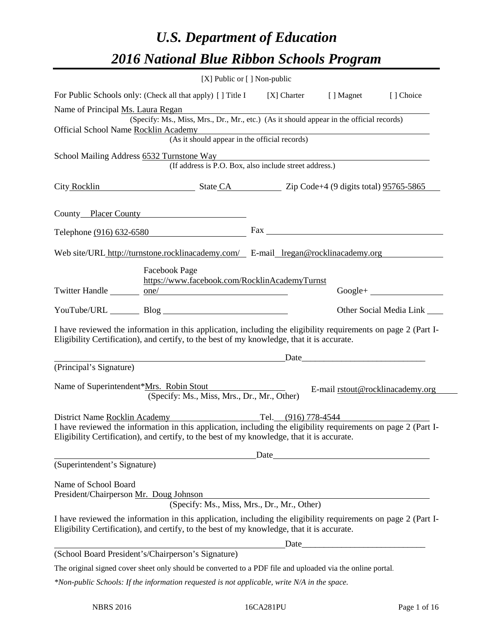# *U.S. Department of Education 2016 National Blue Ribbon Schools Program*

|                                   | [X] Public or [] Non-public                                                                                                                                                                                  |      |                                  |
|-----------------------------------|--------------------------------------------------------------------------------------------------------------------------------------------------------------------------------------------------------------|------|----------------------------------|
|                                   | For Public Schools only: (Check all that apply) [ ] Title I [ ] Charter [ ] Magnet [ ] Choice                                                                                                                |      |                                  |
| Name of Principal Ms. Laura Regan | <u> 1980 - Jan Samuel Barbara, margaret e populazion del control del control del control del control de la control</u>                                                                                       |      |                                  |
|                                   | (Specify: Ms., Miss, Mrs., Dr., Mr., etc.) (As it should appear in the official records)                                                                                                                     |      |                                  |
|                                   | Official School Name Rocklin Academy<br>(As it should appear in the official records)                                                                                                                        |      |                                  |
|                                   | School Mailing Address 6532 Turnstone Way                                                                                                                                                                    |      |                                  |
|                                   | (If address is P.O. Box, also include street address.)                                                                                                                                                       |      |                                  |
|                                   | City Rocklin State CA Zip Code+4 (9 digits total) 95765-5865                                                                                                                                                 |      |                                  |
|                                   |                                                                                                                                                                                                              |      |                                  |
|                                   | County Placer County                                                                                                                                                                                         |      |                                  |
|                                   | Telephone (916) 632-6580                                                                                                                                                                                     |      |                                  |
|                                   |                                                                                                                                                                                                              |      |                                  |
|                                   | Web site/URL http://turnstone.rocklinacademy.com/ E-mail_lregan@rocklinacademy.org                                                                                                                           |      |                                  |
|                                   | <b>Facebook Page</b>                                                                                                                                                                                         |      |                                  |
|                                   | https://www.facebook.com/RocklinAcademyTurnst<br>Twitter Handle ________ one/                                                                                                                                |      | $Google + \_$                    |
|                                   |                                                                                                                                                                                                              |      |                                  |
|                                   |                                                                                                                                                                                                              |      | Other Social Media Link ______   |
|                                   | I have reviewed the information in this application, including the eligibility requirements on page 2 (Part I-<br>Eligibility Certification), and certify, to the best of my knowledge, that it is accurate. |      |                                  |
|                                   | <u> Alexandria de la contrada de la contrada de la contrada de la contrada de la contrada de la contrada de la c</u>                                                                                         |      |                                  |
| (Principal's Signature)           |                                                                                                                                                                                                              |      |                                  |
|                                   | Name of Superintendent*Mrs. Robin Stout<br>(Specify: Ms., Miss, Mrs., Dr., Mr., Other)                                                                                                                       |      | E-mail rstout@rocklinacademy.org |
|                                   |                                                                                                                                                                                                              |      |                                  |
|                                   | District Name <u>Rocklin Academy</u> Tel. (916) 778-4544<br>I have reviewed the information in this application, including the eligibility requirements on page 2 (Part I-                                   |      |                                  |
|                                   | Eligibility Certification), and certify, to the best of my knowledge, that it is accurate.                                                                                                                   |      |                                  |
|                                   |                                                                                                                                                                                                              | Date |                                  |
| (Superintendent's Signature)      |                                                                                                                                                                                                              |      |                                  |
| Name of School Board              |                                                                                                                                                                                                              |      |                                  |
|                                   | President/Chairperson Mr. Doug Johnson                                                                                                                                                                       |      |                                  |
|                                   | (Specify: Ms., Miss, Mrs., Dr., Mr., Other)                                                                                                                                                                  |      |                                  |
|                                   | I have reviewed the information in this application, including the eligibility requirements on page 2 (Part I-<br>Eligibility Certification), and certify, to the best of my knowledge, that it is accurate. |      |                                  |
|                                   |                                                                                                                                                                                                              |      |                                  |
|                                   | (School Board President's/Chairperson's Signature)                                                                                                                                                           |      |                                  |
|                                   | The original signed cover sheet only should be converted to a PDF file and uploaded via the online portal.                                                                                                   |      |                                  |
|                                   | $*$ Non-public Schools: If the information requested is not applicable, write $N/A$ in the space.                                                                                                            |      |                                  |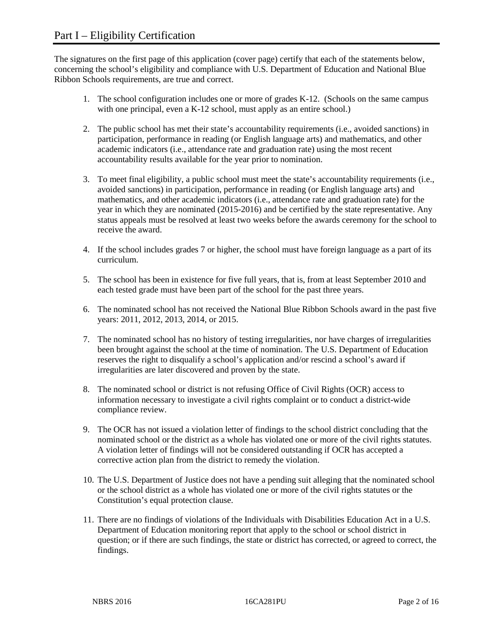The signatures on the first page of this application (cover page) certify that each of the statements below, concerning the school's eligibility and compliance with U.S. Department of Education and National Blue Ribbon Schools requirements, are true and correct.

- 1. The school configuration includes one or more of grades K-12. (Schools on the same campus with one principal, even a K-12 school, must apply as an entire school.)
- 2. The public school has met their state's accountability requirements (i.e., avoided sanctions) in participation, performance in reading (or English language arts) and mathematics, and other academic indicators (i.e., attendance rate and graduation rate) using the most recent accountability results available for the year prior to nomination.
- 3. To meet final eligibility, a public school must meet the state's accountability requirements (i.e., avoided sanctions) in participation, performance in reading (or English language arts) and mathematics, and other academic indicators (i.e., attendance rate and graduation rate) for the year in which they are nominated (2015-2016) and be certified by the state representative. Any status appeals must be resolved at least two weeks before the awards ceremony for the school to receive the award.
- 4. If the school includes grades 7 or higher, the school must have foreign language as a part of its curriculum.
- 5. The school has been in existence for five full years, that is, from at least September 2010 and each tested grade must have been part of the school for the past three years.
- 6. The nominated school has not received the National Blue Ribbon Schools award in the past five years: 2011, 2012, 2013, 2014, or 2015.
- 7. The nominated school has no history of testing irregularities, nor have charges of irregularities been brought against the school at the time of nomination. The U.S. Department of Education reserves the right to disqualify a school's application and/or rescind a school's award if irregularities are later discovered and proven by the state.
- 8. The nominated school or district is not refusing Office of Civil Rights (OCR) access to information necessary to investigate a civil rights complaint or to conduct a district-wide compliance review.
- 9. The OCR has not issued a violation letter of findings to the school district concluding that the nominated school or the district as a whole has violated one or more of the civil rights statutes. A violation letter of findings will not be considered outstanding if OCR has accepted a corrective action plan from the district to remedy the violation.
- 10. The U.S. Department of Justice does not have a pending suit alleging that the nominated school or the school district as a whole has violated one or more of the civil rights statutes or the Constitution's equal protection clause.
- 11. There are no findings of violations of the Individuals with Disabilities Education Act in a U.S. Department of Education monitoring report that apply to the school or school district in question; or if there are such findings, the state or district has corrected, or agreed to correct, the findings.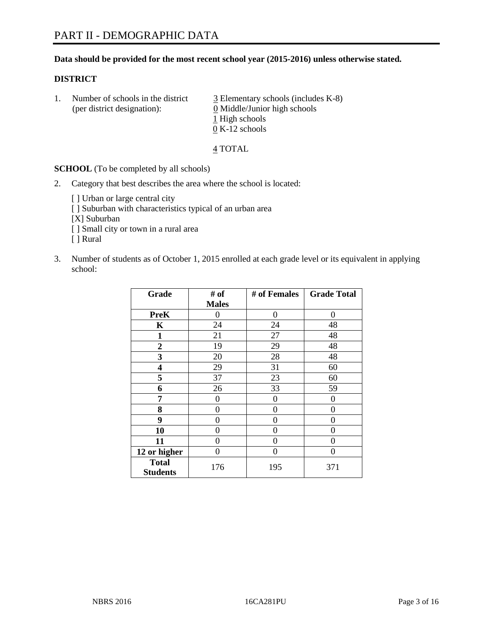### **Data should be provided for the most recent school year (2015-2016) unless otherwise stated.**

### **DISTRICT**

1. Number of schools in the district  $\frac{3}{2}$  Elementary schools (includes K-8) (per district designation): 0 Middle/Junior high schools 1 High schools 0 K-12 schools

#### 4 TOTAL

**SCHOOL** (To be completed by all schools)

- 2. Category that best describes the area where the school is located:
	- [] Urban or large central city [ ] Suburban with characteristics typical of an urban area [X] Suburban [ ] Small city or town in a rural area [ ] Rural
- 3. Number of students as of October 1, 2015 enrolled at each grade level or its equivalent in applying school:

| Grade                           | # of         | # of Females | <b>Grade Total</b> |
|---------------------------------|--------------|--------------|--------------------|
|                                 | <b>Males</b> |              |                    |
| <b>PreK</b>                     | 0            | $\theta$     | 0                  |
| K                               | 24           | 24           | 48                 |
| $\mathbf{1}$                    | 21           | 27           | 48                 |
| $\overline{2}$                  | 19           | 29           | 48                 |
| 3                               | 20           | 28           | 48                 |
| 4                               | 29           | 31           | 60                 |
| 5                               | 37           | 23           | 60                 |
| 6                               | 26           | 33           | 59                 |
| 7                               | 0            | $\theta$     | 0                  |
| 8                               | 0            | $\theta$     | 0                  |
| 9                               | 0            | 0            | 0                  |
| 10                              | 0            | $\Omega$     | 0                  |
| 11                              | 0            | 0            | 0                  |
| 12 or higher                    | 0            | 0            | $\Omega$           |
| <b>Total</b><br><b>Students</b> | 176          | 195          | 371                |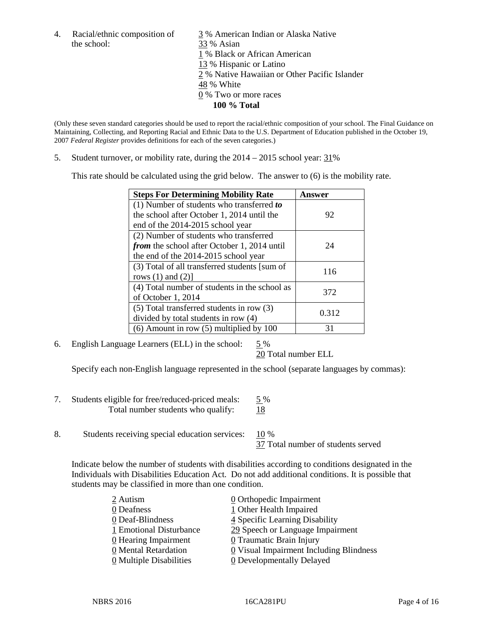the school: 33 % Asian

4. Racial/ethnic composition of  $\frac{3}{9}$ % American Indian or Alaska Native 1 % Black or African American 13 % Hispanic or Latino 2 % Native Hawaiian or Other Pacific Islander 48 % White 0 % Two or more races **100 % Total**

(Only these seven standard categories should be used to report the racial/ethnic composition of your school. The Final Guidance on Maintaining, Collecting, and Reporting Racial and Ethnic Data to the U.S. Department of Education published in the October 19, 2007 *Federal Register* provides definitions for each of the seven categories.)

5. Student turnover, or mobility rate, during the  $2014 - 2015$  school year:  $31\%$ 

This rate should be calculated using the grid below. The answer to (6) is the mobility rate.

| <b>Steps For Determining Mobility Rate</b>         | Answer |  |
|----------------------------------------------------|--------|--|
| (1) Number of students who transferred to          |        |  |
| the school after October 1, 2014 until the         | 92     |  |
| end of the 2014-2015 school year                   |        |  |
| (2) Number of students who transferred             |        |  |
| <i>from</i> the school after October 1, 2014 until | 24     |  |
| the end of the 2014-2015 school year               |        |  |
| (3) Total of all transferred students [sum of      | 116    |  |
| rows $(1)$ and $(2)$ ]                             |        |  |
| (4) Total number of students in the school as      | 372    |  |
| of October 1, 2014                                 |        |  |
| $(5)$ Total transferred students in row $(3)$      | 0.312  |  |
| divided by total students in row (4)               |        |  |
| $(6)$ Amount in row $(5)$ multiplied by 100        | 31     |  |

6. English Language Learners (ELL) in the school:  $5\%$ 

20 Total number ELL

Specify each non-English language represented in the school (separate languages by commas):

- 7. Students eligible for free/reduced-priced meals: 5 % Total number students who qualify:  $18$
- 8. Students receiving special education services: 10 %

37 Total number of students served

Indicate below the number of students with disabilities according to conditions designated in the Individuals with Disabilities Education Act. Do not add additional conditions. It is possible that students may be classified in more than one condition.

| 2 Autism                              | 0 Orthopedic Impairment                        |
|---------------------------------------|------------------------------------------------|
| 0 Deafness                            | 1 Other Health Impaired                        |
| 0 Deaf-Blindness                      | 4 Specific Learning Disability                 |
| 1 Emotional Disturbance               | 29 Speech or Language Impairment               |
| 0 Hearing Impairment                  | 0 Traumatic Brain Injury                       |
| 0 Mental Retardation                  | <b>0</b> Visual Impairment Including Blindness |
| $\underline{0}$ Multiple Disabilities | <b>0</b> Developmentally Delayed               |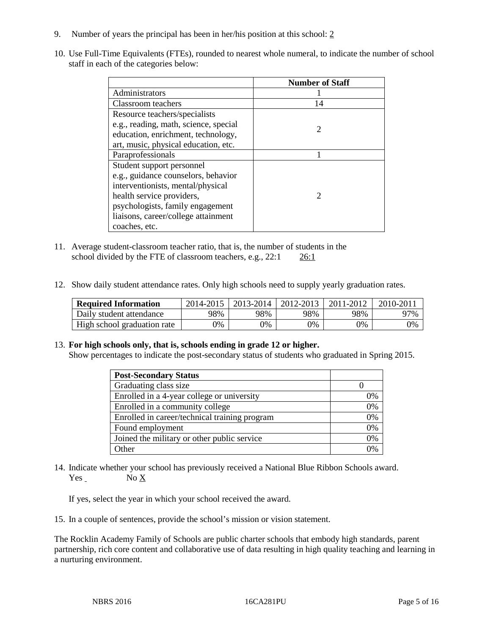- 9. Number of years the principal has been in her/his position at this school: 2
- 10. Use Full-Time Equivalents (FTEs), rounded to nearest whole numeral, to indicate the number of school staff in each of the categories below:

|                                       | <b>Number of Staff</b>      |
|---------------------------------------|-----------------------------|
| Administrators                        |                             |
| Classroom teachers                    | 14                          |
| Resource teachers/specialists         |                             |
| e.g., reading, math, science, special | $\mathcal{D}_{\mathcal{L}}$ |
| education, enrichment, technology,    |                             |
| art, music, physical education, etc.  |                             |
| Paraprofessionals                     |                             |
| Student support personnel             |                             |
| e.g., guidance counselors, behavior   |                             |
| interventionists, mental/physical     |                             |
| health service providers,             | $\mathcal{D}_{\mathcal{L}}$ |
| psychologists, family engagement      |                             |
| liaisons, career/college attainment   |                             |
| coaches, etc.                         |                             |

- 11. Average student-classroom teacher ratio, that is, the number of students in the school divided by the FTE of classroom teachers, e.g., 22:1 26:1
- 12. Show daily student attendance rates. Only high schools need to supply yearly graduation rates.

| <b>Required Information</b> | 2014-2015 | $2013 - 2014$ | 2012-2013 | 2011-2012 | 2010-2011 |
|-----------------------------|-----------|---------------|-----------|-----------|-----------|
| Daily student attendance    | 98%       | 98%           | 98%       | 98%       | 97%       |
| High school graduation rate | 9%        | $9\%$         | 9%        | 9%        | 0%        |

#### 13. **For high schools only, that is, schools ending in grade 12 or higher.**

Show percentages to indicate the post-secondary status of students who graduated in Spring 2015.

| <b>Post-Secondary Status</b>                  |    |
|-----------------------------------------------|----|
| Graduating class size                         |    |
| Enrolled in a 4-year college or university    | 0% |
| Enrolled in a community college               | 0% |
| Enrolled in career/technical training program | 0% |
| Found employment                              | 0% |
| Joined the military or other public service   | 0% |
| Other                                         | 0/ |

14. Indicate whether your school has previously received a National Blue Ribbon Schools award. Yes No X

If yes, select the year in which your school received the award.

15. In a couple of sentences, provide the school's mission or vision statement.

The Rocklin Academy Family of Schools are public charter schools that embody high standards, parent partnership, rich core content and collaborative use of data resulting in high quality teaching and learning in a nurturing environment.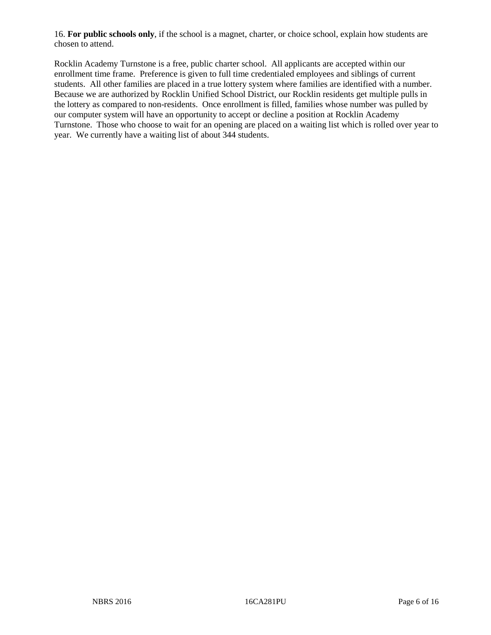16. **For public schools only**, if the school is a magnet, charter, or choice school, explain how students are chosen to attend.

Rocklin Academy Turnstone is a free, public charter school. All applicants are accepted within our enrollment time frame. Preference is given to full time credentialed employees and siblings of current students. All other families are placed in a true lottery system where families are identified with a number. Because we are authorized by Rocklin Unified School District, our Rocklin residents get multiple pulls in the lottery as compared to non-residents. Once enrollment is filled, families whose number was pulled by our computer system will have an opportunity to accept or decline a position at Rocklin Academy Turnstone. Those who choose to wait for an opening are placed on a waiting list which is rolled over year to year. We currently have a waiting list of about 344 students.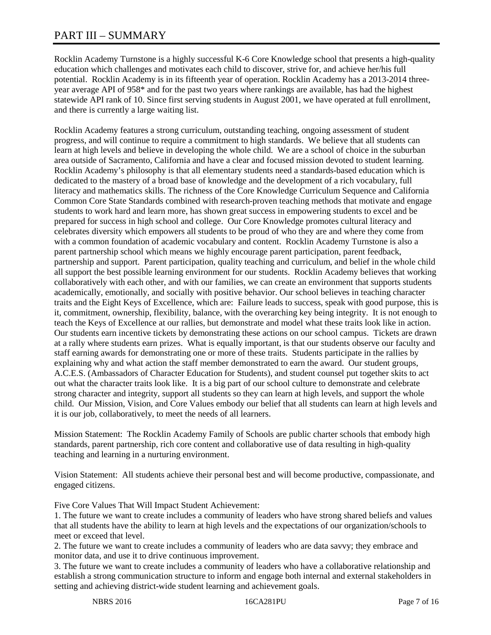# PART III – SUMMARY

Rocklin Academy Turnstone is a highly successful K-6 Core Knowledge school that presents a high-quality education which challenges and motivates each child to discover, strive for, and achieve her/his full potential. Rocklin Academy is in its fifteenth year of operation. Rocklin Academy has a 2013-2014 threeyear average API of 958\* and for the past two years where rankings are available, has had the highest statewide API rank of 10. Since first serving students in August 2001, we have operated at full enrollment, and there is currently a large waiting list.

Rocklin Academy features a strong curriculum, outstanding teaching, ongoing assessment of student progress, and will continue to require a commitment to high standards. We believe that all students can learn at high levels and believe in developing the whole child. We are a school of choice in the suburban area outside of Sacramento, California and have a clear and focused mission devoted to student learning. Rocklin Academy's philosophy is that all elementary students need a standards-based education which is dedicated to the mastery of a broad base of knowledge and the development of a rich vocabulary, full literacy and mathematics skills. The richness of the Core Knowledge Curriculum Sequence and California Common Core State Standards combined with research-proven teaching methods that motivate and engage students to work hard and learn more, has shown great success in empowering students to excel and be prepared for success in high school and college. Our Core Knowledge promotes cultural literacy and celebrates diversity which empowers all students to be proud of who they are and where they come from with a common foundation of academic vocabulary and content. Rocklin Academy Turnstone is also a parent partnership school which means we highly encourage parent participation, parent feedback, partnership and support. Parent participation, quality teaching and curriculum, and belief in the whole child all support the best possible learning environment for our students. Rocklin Academy believes that working collaboratively with each other, and with our families, we can create an environment that supports students academically, emotionally, and socially with positive behavior. Our school believes in teaching character traits and the Eight Keys of Excellence, which are: Failure leads to success, speak with good purpose, this is it, commitment, ownership, flexibility, balance, with the overarching key being integrity. It is not enough to teach the Keys of Excellence at our rallies, but demonstrate and model what these traits look like in action. Our students earn incentive tickets by demonstrating these actions on our school campus. Tickets are drawn at a rally where students earn prizes. What is equally important, is that our students observe our faculty and staff earning awards for demonstrating one or more of these traits. Students participate in the rallies by explaining why and what action the staff member demonstrated to earn the award. Our student groups, A.C.E.S. (Ambassadors of Character Education for Students), and student counsel put together skits to act out what the character traits look like. It is a big part of our school culture to demonstrate and celebrate strong character and integrity, support all students so they can learn at high levels, and support the whole child. Our Mission, Vision, and Core Values embody our belief that all students can learn at high levels and it is our job, collaboratively, to meet the needs of all learners.

Mission Statement: The Rocklin Academy Family of Schools are public charter schools that embody high standards, parent partnership, rich core content and collaborative use of data resulting in high-quality teaching and learning in a nurturing environment.

Vision Statement: All students achieve their personal best and will become productive, compassionate, and engaged citizens.

Five Core Values That Will Impact Student Achievement:

1. The future we want to create includes a community of leaders who have strong shared beliefs and values that all students have the ability to learn at high levels and the expectations of our organization/schools to meet or exceed that level.

2. The future we want to create includes a community of leaders who are data savvy; they embrace and monitor data, and use it to drive continuous improvement.

3. The future we want to create includes a community of leaders who have a collaborative relationship and establish a strong communication structure to inform and engage both internal and external stakeholders in setting and achieving district-wide student learning and achievement goals.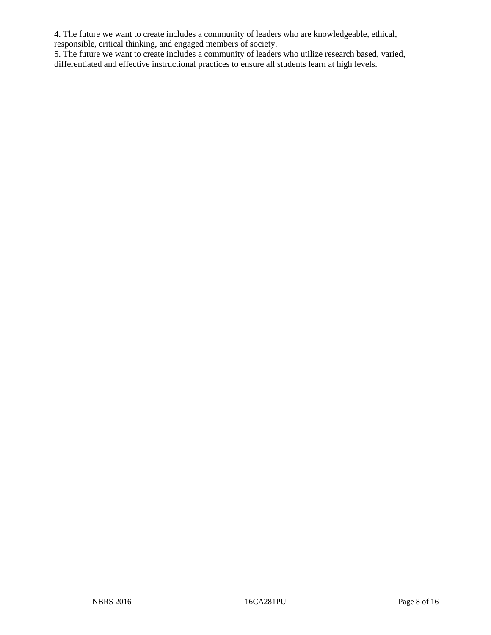4. The future we want to create includes a community of leaders who are knowledgeable, ethical, responsible, critical thinking, and engaged members of society.

5. The future we want to create includes a community of leaders who utilize research based, varied, differentiated and effective instructional practices to ensure all students learn at high levels.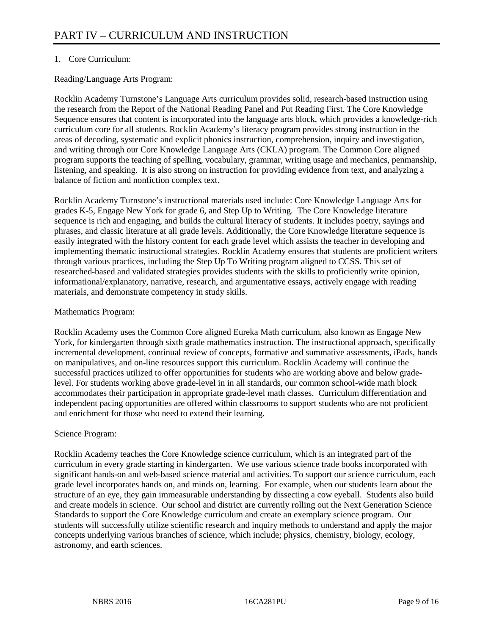# 1. Core Curriculum:

Reading/Language Arts Program:

Rocklin Academy Turnstone's Language Arts curriculum provides solid, research-based instruction using the research from the Report of the National Reading Panel and Put Reading First. The Core Knowledge Sequence ensures that content is incorporated into the language arts block, which provides a knowledge-rich curriculum core for all students. Rocklin Academy's literacy program provides strong instruction in the areas of decoding, systematic and explicit phonics instruction, comprehension, inquiry and investigation, and writing through our Core Knowledge Language Arts (CKLA) program. The Common Core aligned program supports the teaching of spelling, vocabulary, grammar, writing usage and mechanics, penmanship, listening, and speaking. It is also strong on instruction for providing evidence from text, and analyzing a balance of fiction and nonfiction complex text.

Rocklin Academy Turnstone's instructional materials used include: Core Knowledge Language Arts for grades K-5, Engage New York for grade 6, and Step Up to Writing. The Core Knowledge literature sequence is rich and engaging, and builds the cultural literacy of students. It includes poetry, sayings and phrases, and classic literature at all grade levels. Additionally, the Core Knowledge literature sequence is easily integrated with the history content for each grade level which assists the teacher in developing and implementing thematic instructional strategies. Rocklin Academy ensures that students are proficient writers through various practices, including the Step Up To Writing program aligned to CCSS. This set of researched-based and validated strategies provides students with the skills to proficiently write opinion, informational/explanatory, narrative, research, and argumentative essays, actively engage with reading materials, and demonstrate competency in study skills.

# Mathematics Program:

Rocklin Academy uses the Common Core aligned Eureka Math curriculum, also known as Engage New York, for kindergarten through sixth grade mathematics instruction. The instructional approach, specifically incremental development, continual review of concepts, formative and summative assessments, iPads, hands on manipulatives, and on-line resources support this curriculum. Rocklin Academy will continue the successful practices utilized to offer opportunities for students who are working above and below gradelevel. For students working above grade-level in in all standards, our common school-wide math block accommodates their participation in appropriate grade-level math classes. Curriculum differentiation and independent pacing opportunities are offered within classrooms to support students who are not proficient and enrichment for those who need to extend their learning.

## Science Program:

Rocklin Academy teaches the Core Knowledge science curriculum, which is an integrated part of the curriculum in every grade starting in kindergarten. We use various science trade books incorporated with significant hands-on and web-based science material and activities. To support our science curriculum, each grade level incorporates hands on, and minds on, learning. For example, when our students learn about the structure of an eye, they gain immeasurable understanding by dissecting a cow eyeball. Students also build and create models in science. Our school and district are currently rolling out the Next Generation Science Standards to support the Core Knowledge curriculum and create an exemplary science program. Our students will successfully utilize scientific research and inquiry methods to understand and apply the major concepts underlying various branches of science, which include; physics, chemistry, biology, ecology, astronomy, and earth sciences.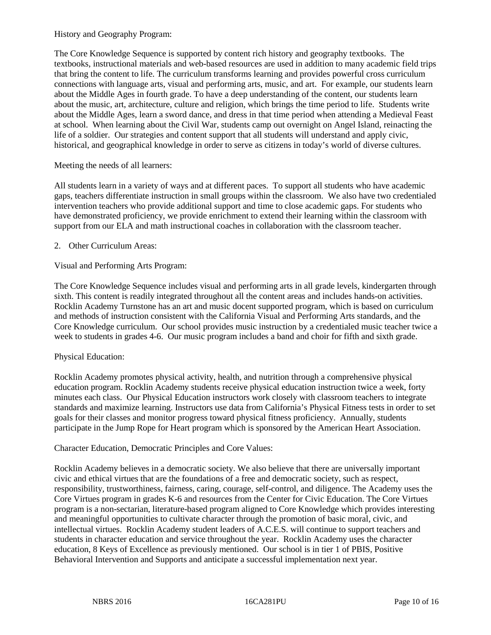# History and Geography Program:

The Core Knowledge Sequence is supported by content rich history and geography textbooks. The textbooks, instructional materials and web-based resources are used in addition to many academic field trips that bring the content to life. The curriculum transforms learning and provides powerful cross curriculum connections with language arts, visual and performing arts, music, and art. For example, our students learn about the Middle Ages in fourth grade. To have a deep understanding of the content, our students learn about the music, art, architecture, culture and religion, which brings the time period to life. Students write about the Middle Ages, learn a sword dance, and dress in that time period when attending a Medieval Feast at school. When learning about the Civil War, students camp out overnight on Angel Island, reinacting the life of a soldier. Our strategies and content support that all students will understand and apply civic, historical, and geographical knowledge in order to serve as citizens in today's world of diverse cultures.

# Meeting the needs of all learners:

All students learn in a variety of ways and at different paces. To support all students who have academic gaps, teachers differentiate instruction in small groups within the classroom. We also have two credentialed intervention teachers who provide additional support and time to close academic gaps. For students who have demonstrated proficiency, we provide enrichment to extend their learning within the classroom with support from our ELA and math instructional coaches in collaboration with the classroom teacher.

# 2. Other Curriculum Areas:

Visual and Performing Arts Program:

The Core Knowledge Sequence includes visual and performing arts in all grade levels, kindergarten through sixth. This content is readily integrated throughout all the content areas and includes hands-on activities. Rocklin Academy Turnstone has an art and music docent supported program, which is based on curriculum and methods of instruction consistent with the California Visual and Performing Arts standards, and the Core Knowledge curriculum. Our school provides music instruction by a credentialed music teacher twice a week to students in grades 4-6. Our music program includes a band and choir for fifth and sixth grade.

## Physical Education:

Rocklin Academy promotes physical activity, health, and nutrition through a comprehensive physical education program. Rocklin Academy students receive physical education instruction twice a week, forty minutes each class. Our Physical Education instructors work closely with classroom teachers to integrate standards and maximize learning. Instructors use data from California's Physical Fitness tests in order to set goals for their classes and monitor progress toward physical fitness proficiency. Annually, students participate in the Jump Rope for Heart program which is sponsored by the American Heart Association.

## Character Education, Democratic Principles and Core Values:

Rocklin Academy believes in a democratic society. We also believe that there are universally important civic and ethical virtues that are the foundations of a free and democratic society, such as respect, responsibility, trustworthiness, fairness, caring, courage, self-control, and diligence. The Academy uses the Core Virtues program in grades K-6 and resources from the Center for Civic Education. The Core Virtues program is a non-sectarian, literature-based program aligned to Core Knowledge which provides interesting and meaningful opportunities to cultivate character through the promotion of basic moral, civic, and intellectual virtues. Rocklin Academy student leaders of A.C.E.S. will continue to support teachers and students in character education and service throughout the year. Rocklin Academy uses the character education, 8 Keys of Excellence as previously mentioned. Our school is in tier 1 of PBIS, Positive Behavioral Intervention and Supports and anticipate a successful implementation next year.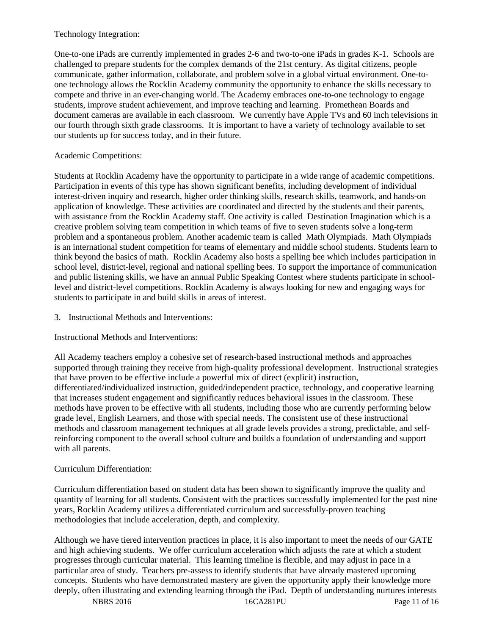# Technology Integration:

One-to-one iPads are currently implemented in grades 2-6 and two-to-one iPads in grades K-1. Schools are challenged to prepare students for the complex demands of the 21st century. As digital citizens, people communicate, gather information, collaborate, and problem solve in a global virtual environment. One-toone technology allows the Rocklin Academy community the opportunity to enhance the skills necessary to compete and thrive in an ever-changing world. The Academy embraces one-to-one technology to engage students, improve student achievement, and improve teaching and learning. Promethean Boards and document cameras are available in each classroom. We currently have Apple TVs and 60 inch televisions in our fourth through sixth grade classrooms. It is important to have a variety of technology available to set our students up for success today, and in their future.

# Academic Competitions:

Students at Rocklin Academy have the opportunity to participate in a wide range of academic competitions. Participation in events of this type has shown significant benefits, including development of individual interest-driven inquiry and research, higher order thinking skills, research skills, teamwork, and hands-on application of knowledge. These activities are coordinated and directed by the students and their parents, with assistance from the Rocklin Academy staff. One activity is called Destination Imagination which is a creative problem solving team competition in which teams of five to seven students solve a long-term problem and a spontaneous problem. Another academic team is called Math Olympiads. Math Olympiads is an international student competition for teams of elementary and middle school students. Students learn to think beyond the basics of math. Rocklin Academy also hosts a spelling bee which includes participation in school level, district-level, regional and national spelling bees. To support the importance of communication and public listening skills, we have an annual Public Speaking Contest where students participate in schoollevel and district-level competitions. Rocklin Academy is always looking for new and engaging ways for students to participate in and build skills in areas of interest.

3. Instructional Methods and Interventions:

Instructional Methods and Interventions:

All Academy teachers employ a cohesive set of research-based instructional methods and approaches supported through training they receive from high-quality professional development. Instructional strategies that have proven to be effective include a powerful mix of direct (explicit) instruction, differentiated/individualized instruction, guided/independent practice, technology, and cooperative learning that increases student engagement and significantly reduces behavioral issues in the classroom. These methods have proven to be effective with all students, including those who are currently performing below grade level, English Learners, and those with special needs. The consistent use of these instructional methods and classroom management techniques at all grade levels provides a strong, predictable, and selfreinforcing component to the overall school culture and builds a foundation of understanding and support with all parents.

# Curriculum Differentiation:

Curriculum differentiation based on student data has been shown to significantly improve the quality and quantity of learning for all students. Consistent with the practices successfully implemented for the past nine years, Rocklin Academy utilizes a differentiated curriculum and successfully-proven teaching methodologies that include acceleration, depth, and complexity.

Although we have tiered intervention practices in place, it is also important to meet the needs of our GATE and high achieving students. We offer curriculum acceleration which adjusts the rate at which a student progresses through curricular material. This learning timeline is flexible, and may adjust in pace in a particular area of study. Teachers pre-assess to identify students that have already mastered upcoming concepts. Students who have demonstrated mastery are given the opportunity apply their knowledge more deeply, often illustrating and extending learning through the iPad. Depth of understanding nurtures interests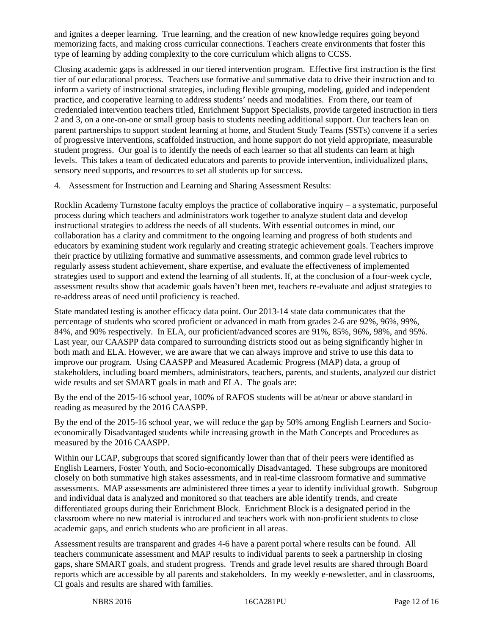and ignites a deeper learning. True learning, and the creation of new knowledge requires going beyond memorizing facts, and making cross curricular connections. Teachers create environments that foster this type of learning by adding complexity to the core curriculum which aligns to CCSS.

Closing academic gaps is addressed in our tiered intervention program. Effective first instruction is the first tier of our educational process. Teachers use formative and summative data to drive their instruction and to inform a variety of instructional strategies, including flexible grouping, modeling, guided and independent practice, and cooperative learning to address students' needs and modalities. From there, our team of credentialed intervention teachers titled, Enrichment Support Specialists, provide targeted instruction in tiers 2 and 3, on a one-on-one or small group basis to students needing additional support. Our teachers lean on parent partnerships to support student learning at home, and Student Study Teams (SSTs) convene if a series of progressive interventions, scaffolded instruction, and home support do not yield appropriate, measurable student progress. Our goal is to identify the needs of each learner so that all students can learn at high levels. This takes a team of dedicated educators and parents to provide intervention, individualized plans, sensory need supports, and resources to set all students up for success.

4. Assessment for Instruction and Learning and Sharing Assessment Results:

Rocklin Academy Turnstone faculty employs the practice of collaborative inquiry – a systematic, purposeful process during which teachers and administrators work together to analyze student data and develop instructional strategies to address the needs of all students. With essential outcomes in mind, our collaboration has a clarity and commitment to the ongoing learning and progress of both students and educators by examining student work regularly and creating strategic achievement goals. Teachers improve their practice by utilizing formative and summative assessments, and common grade level rubrics to regularly assess student achievement, share expertise, and evaluate the effectiveness of implemented strategies used to support and extend the learning of all students. If, at the conclusion of a four-week cycle, assessment results show that academic goals haven't been met, teachers re-evaluate and adjust strategies to re-address areas of need until proficiency is reached.

State mandated testing is another efficacy data point. Our 2013-14 state data communicates that the percentage of students who scored proficient or advanced in math from grades 2-6 are 92%, 96%, 99%, 84%, and 90% respectively. In ELA, our proficient/advanced scores are 91%, 85%, 96%, 98%, and 95%. Last year, our CAASPP data compared to surrounding districts stood out as being significantly higher in both math and ELA. However, we are aware that we can always improve and strive to use this data to improve our program. Using CAASPP and Measured Academic Progress (MAP) data, a group of stakeholders, including board members, administrators, teachers, parents, and students, analyzed our district wide results and set SMART goals in math and ELA. The goals are:

By the end of the 2015-16 school year, 100% of RAFOS students will be at/near or above standard in reading as measured by the 2016 CAASPP.

By the end of the 2015-16 school year, we will reduce the gap by 50% among English Learners and Socioeconomically Disadvantaged students while increasing growth in the Math Concepts and Procedures as measured by the 2016 CAASPP.

Within our LCAP, subgroups that scored significantly lower than that of their peers were identified as English Learners, Foster Youth, and Socio-economically Disadvantaged. These subgroups are monitored closely on both summative high stakes assessments, and in real-time classroom formative and summative assessments. MAP assessments are administered three times a year to identify individual growth. Subgroup and individual data is analyzed and monitored so that teachers are able identify trends, and create differentiated groups during their Enrichment Block. Enrichment Block is a designated period in the classroom where no new material is introduced and teachers work with non-proficient students to close academic gaps, and enrich students who are proficient in all areas.

Assessment results are transparent and grades 4-6 have a parent portal where results can be found. All teachers communicate assessment and MAP results to individual parents to seek a partnership in closing gaps, share SMART goals, and student progress. Trends and grade level results are shared through Board reports which are accessible by all parents and stakeholders. In my weekly e-newsletter, and in classrooms, CI goals and results are shared with families.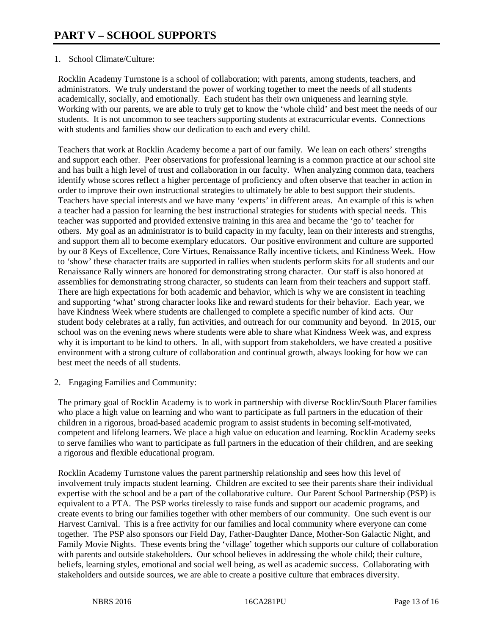# 1. School Climate/Culture:

Rocklin Academy Turnstone is a school of collaboration; with parents, among students, teachers, and administrators. We truly understand the power of working together to meet the needs of all students academically, socially, and emotionally. Each student has their own uniqueness and learning style. Working with our parents, we are able to truly get to know the 'whole child' and best meet the needs of our students. It is not uncommon to see teachers supporting students at extracurricular events. Connections with students and families show our dedication to each and every child.

Teachers that work at Rocklin Academy become a part of our family. We lean on each others' strengths and support each other. Peer observations for professional learning is a common practice at our school site and has built a high level of trust and collaboration in our faculty. When analyzing common data, teachers identify whose scores reflect a higher percentage of proficiency and often observe that teacher in action in order to improve their own instructional strategies to ultimately be able to best support their students. Teachers have special interests and we have many 'experts' in different areas. An example of this is when a teacher had a passion for learning the best instructional strategies for students with special needs. This teacher was supported and provided extensive training in this area and became the 'go to' teacher for others. My goal as an administrator is to build capacity in my faculty, lean on their interests and strengths, and support them all to become exemplary educators. Our positive environment and culture are supported by our 8 Keys of Excellence, Core Virtues, Renaissance Rally incentive tickets, and Kindness Week. How to 'show' these character traits are supported in rallies when students perform skits for all students and our Renaissance Rally winners are honored for demonstrating strong character. Our staff is also honored at assemblies for demonstrating strong character, so students can learn from their teachers and support staff. There are high expectations for both academic and behavior, which is why we are consistent in teaching and supporting 'what' strong character looks like and reward students for their behavior. Each year, we have Kindness Week where students are challenged to complete a specific number of kind acts. Our student body celebrates at a rally, fun activities, and outreach for our community and beyond. In 2015, our school was on the evening news where students were able to share what Kindness Week was, and express why it is important to be kind to others. In all, with support from stakeholders, we have created a positive environment with a strong culture of collaboration and continual growth, always looking for how we can best meet the needs of all students.

## 2. Engaging Families and Community:

The primary goal of Rocklin Academy is to work in partnership with diverse Rocklin/South Placer families who place a high value on learning and who want to participate as full partners in the education of their children in a rigorous, broad-based academic program to assist students in becoming self-motivated, competent and lifelong learners. We place a high value on education and learning. Rocklin Academy seeks to serve families who want to participate as full partners in the education of their children, and are seeking a rigorous and flexible educational program.

Rocklin Academy Turnstone values the parent partnership relationship and sees how this level of involvement truly impacts student learning. Children are excited to see their parents share their individual expertise with the school and be a part of the collaborative culture. Our Parent School Partnership (PSP) is equivalent to a PTA. The PSP works tirelessly to raise funds and support our academic programs, and create events to bring our families together with other members of our community. One such event is our Harvest Carnival. This is a free activity for our families and local community where everyone can come together. The PSP also sponsors our Field Day, Father-Daughter Dance, Mother-Son Galactic Night, and Family Movie Nights. These events bring the 'village' together which supports our culture of collaboration with parents and outside stakeholders. Our school believes in addressing the whole child; their culture, beliefs, learning styles, emotional and social well being, as well as academic success. Collaborating with stakeholders and outside sources, we are able to create a positive culture that embraces diversity.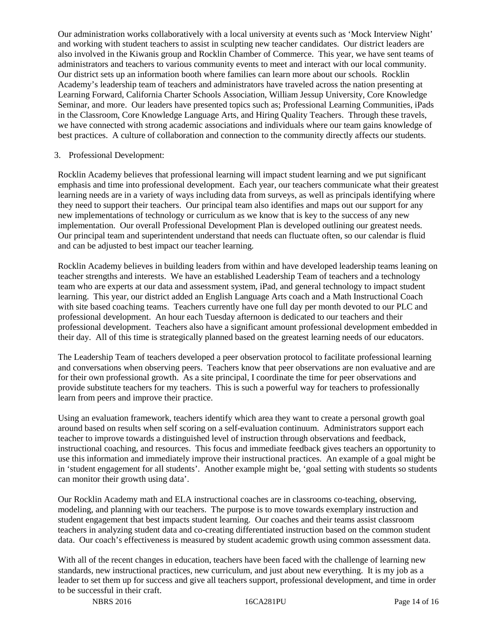Our administration works collaboratively with a local university at events such as 'Mock Interview Night' and working with student teachers to assist in sculpting new teacher candidates. Our district leaders are also involved in the Kiwanis group and Rocklin Chamber of Commerce. This year, we have sent teams of administrators and teachers to various community events to meet and interact with our local community. Our district sets up an information booth where families can learn more about our schools. Rocklin Academy's leadership team of teachers and administrators have traveled across the nation presenting at Learning Forward, California Charter Schools Association, William Jessup University, Core Knowledge Seminar, and more. Our leaders have presented topics such as; Professional Learning Communities, iPads in the Classroom, Core Knowledge Language Arts, and Hiring Quality Teachers. Through these travels, we have connected with strong academic associations and individuals where our team gains knowledge of best practices. A culture of collaboration and connection to the community directly affects our students.

#### 3. Professional Development:

Rocklin Academy believes that professional learning will impact student learning and we put significant emphasis and time into professional development. Each year, our teachers communicate what their greatest learning needs are in a variety of ways including data from surveys, as well as principals identifying where they need to support their teachers. Our principal team also identifies and maps out our support for any new implementations of technology or curriculum as we know that is key to the success of any new implementation. Our overall Professional Development Plan is developed outlining our greatest needs. Our principal team and superintendent understand that needs can fluctuate often, so our calendar is fluid and can be adjusted to best impact our teacher learning.

Rocklin Academy believes in building leaders from within and have developed leadership teams leaning on teacher strengths and interests. We have an established Leadership Team of teachers and a technology team who are experts at our data and assessment system, iPad, and general technology to impact student learning. This year, our district added an English Language Arts coach and a Math Instructional Coach with site based coaching teams. Teachers currently have one full day per month devoted to our PLC and professional development. An hour each Tuesday afternoon is dedicated to our teachers and their professional development. Teachers also have a significant amount professional development embedded in their day. All of this time is strategically planned based on the greatest learning needs of our educators.

The Leadership Team of teachers developed a peer observation protocol to facilitate professional learning and conversations when observing peers. Teachers know that peer observations are non evaluative and are for their own professional growth. As a site principal, I coordinate the time for peer observations and provide substitute teachers for my teachers. This is such a powerful way for teachers to professionally learn from peers and improve their practice.

Using an evaluation framework, teachers identify which area they want to create a personal growth goal around based on results when self scoring on a self-evaluation continuum. Administrators support each teacher to improve towards a distinguished level of instruction through observations and feedback, instructional coaching, and resources. This focus and immediate feedback gives teachers an opportunity to use this information and immediately improve their instructional practices. An example of a goal might be in 'student engagement for all students'. Another example might be, 'goal setting with students so students can monitor their growth using data'.

Our Rocklin Academy math and ELA instructional coaches are in classrooms co-teaching, observing, modeling, and planning with our teachers. The purpose is to move towards exemplary instruction and student engagement that best impacts student learning. Our coaches and their teams assist classroom teachers in analyzing student data and co-creating differentiated instruction based on the common student data. Our coach's effectiveness is measured by student academic growth using common assessment data.

With all of the recent changes in education, teachers have been faced with the challenge of learning new standards, new instructional practices, new curriculum, and just about new everything. It is my job as a leader to set them up for success and give all teachers support, professional development, and time in order to be successful in their craft.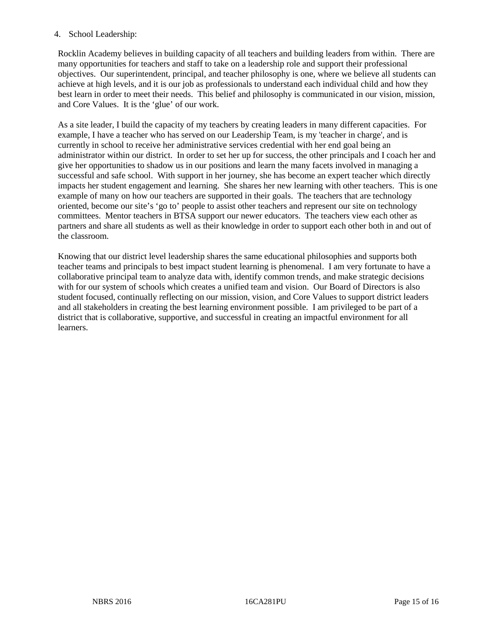# 4. School Leadership:

Rocklin Academy believes in building capacity of all teachers and building leaders from within. There are many opportunities for teachers and staff to take on a leadership role and support their professional objectives. Our superintendent, principal, and teacher philosophy is one, where we believe all students can achieve at high levels, and it is our job as professionals to understand each individual child and how they best learn in order to meet their needs. This belief and philosophy is communicated in our vision, mission, and Core Values. It is the 'glue' of our work.

As a site leader, I build the capacity of my teachers by creating leaders in many different capacities. For example, I have a teacher who has served on our Leadership Team, is my 'teacher in charge', and is currently in school to receive her administrative services credential with her end goal being an administrator within our district. In order to set her up for success, the other principals and I coach her and give her opportunities to shadow us in our positions and learn the many facets involved in managing a successful and safe school. With support in her journey, she has become an expert teacher which directly impacts her student engagement and learning. She shares her new learning with other teachers. This is one example of many on how our teachers are supported in their goals. The teachers that are technology oriented, become our site's 'go to' people to assist other teachers and represent our site on technology committees. Mentor teachers in BTSA support our newer educators. The teachers view each other as partners and share all students as well as their knowledge in order to support each other both in and out of the classroom.

Knowing that our district level leadership shares the same educational philosophies and supports both teacher teams and principals to best impact student learning is phenomenal. I am very fortunate to have a collaborative principal team to analyze data with, identify common trends, and make strategic decisions with for our system of schools which creates a unified team and vision. Our Board of Directors is also student focused, continually reflecting on our mission, vision, and Core Values to support district leaders and all stakeholders in creating the best learning environment possible. I am privileged to be part of a district that is collaborative, supportive, and successful in creating an impactful environment for all learners.